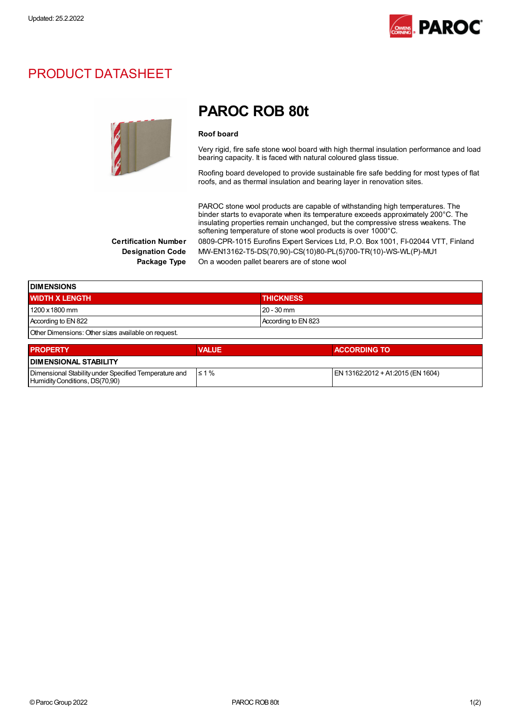

## PRODUCT DATASHEET



## PAROC ROB 80t

#### Roof board

Very rigid, fire safe stone wool board with high thermal insulation performance and load bearing capacity. It is faced with natural coloured glass tissue.

Roofing board developed to provide sustainable fire safe bedding for most types of flat roofs, and as thermal insulation and bearing layer in renovation sites.

PAROC stone wool products are capable of withstanding high temperatures. The binder starts to evaporate when its temperature exceeds approximately 200°C. The insulating properties remain unchanged, but the compressive stress weakens. The softening temperature of stone wool products is over 1000°C.

Certification Number 0809-CPR-1015 Eurofins Expert Services Ltd, P.O. Box 1001, FI-02044 VTT, Finland Designation Code MW-EN13162-T5-DS(70,90)-CS(10)80-PL(5)700-TR(10)-WS-WL(P)-MU1 Package Type On a wooden pallet bearers are of stone wool

| <b>DIMENSIONS</b>                                   |                     |  |
|-----------------------------------------------------|---------------------|--|
| <b>WIDTH X LENGTH</b>                               | <b>THICKNESS</b>    |  |
| 1200 x 1800 mm                                      | $120 - 30$ mm       |  |
| According to EN 822                                 | According to EN 823 |  |
| Other Dimensions: Other sizes available on request. |                     |  |

| <b>PROPERTY</b>                                                                         | <b>VALUE</b> | <b>ACCORDING TO</b>               |
|-----------------------------------------------------------------------------------------|--------------|-----------------------------------|
| <b>DIMENSIONAL STABILITY</b>                                                            |              |                                   |
| Dimensional Stability under Specified Temperature and<br>Humidity Conditions, DS(70,90) | $\leq 1\%$   | EN 13162:2012 + A1:2015 (EN 1604) |